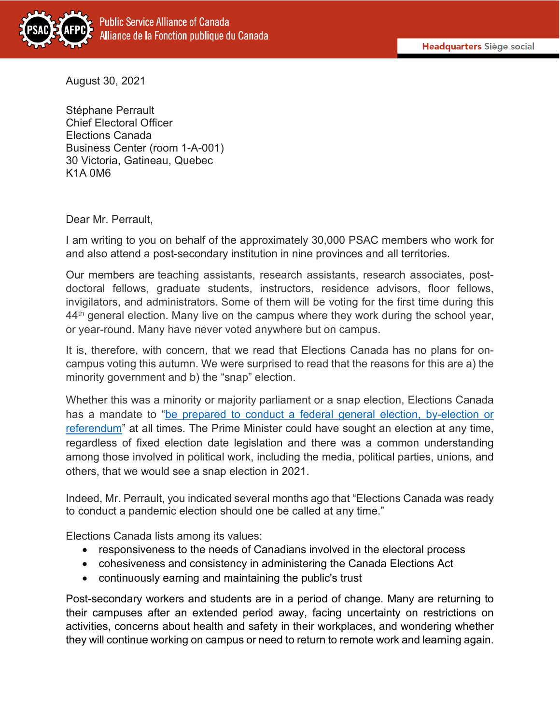

August 30, 2021

Stéphane Perrault Chief Electoral Officer Elections Canada Business Center (room 1-A-001) 30 Victoria, Gatineau, Quebec K1A 0M6

Dear Mr. Perrault,

I am writing to you on behalf of the approximately 30,000 PSAC members who work for and also attend a post-secondary institution in nine provinces and all territories.

Our members are teaching assistants, research assistants, research associates, postdoctoral fellows, graduate students, instructors, residence advisors, floor fellows, invigilators, and administrators. Some of them will be voting for the first time during this  $44<sup>th</sup>$  general election. Many live on the campus where they work during the school year, or year-round. Many have never voted anywhere but on campus.

It is, therefore, with concern, that we read that Elections Canada has no plans for oncampus voting this autumn. We were surprised to read that the reasons for this are a) the minority government and b) the "snap" election.

Whether this was a minority or majority parliament or a snap election, Elections Canada has a mandate to "be prepared to conduct a federal general election, by-election or [referendum"](https://www.elections.ca/content.aspx?section=abo&dir=mis&document=index&lang=e) at all times. The Prime Minister could have sought an election at any time, regardless of fixed election date legislation and there was a common understanding among those involved in political work, including the media, political parties, unions, and others, that we would see a snap election in 2021.

Indeed, Mr. Perrault, you indicated several months ago that "Elections Canada was ready to conduct a pandemic election should one be called at any time."

Elections Canada lists among its values:

- responsiveness to the needs of Canadians involved in the electoral process
- cohesiveness and consistency in administering the Canada Elections Act
- continuously earning and maintaining the public's trust

Post-secondary workers and students are in a period of change. Many are returning to their campuses after an extended period away, facing uncertainty on restrictions on activities, concerns about health and safety in their workplaces, and wondering whether they will continue working on campus or need to return to remote work and learning again.